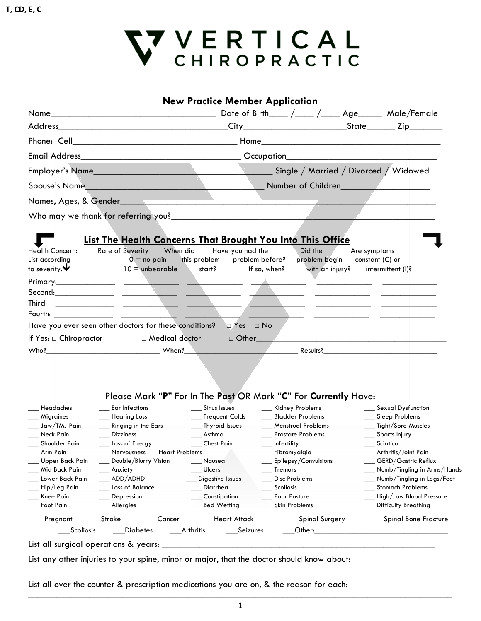

|                              |                                                                                           | <b>New Practice Member Application</b> |                                  |              |                                            |
|------------------------------|-------------------------------------------------------------------------------------------|----------------------------------------|----------------------------------|--------------|--------------------------------------------|
|                              |                                                                                           |                                        |                                  |              |                                            |
|                              |                                                                                           |                                        |                                  |              |                                            |
|                              |                                                                                           |                                        |                                  |              |                                            |
| <b>Email Address</b>         |                                                                                           |                                        |                                  |              |                                            |
|                              | Employer's Name Single / Married / Divorced / Widowed                                     |                                        |                                  |              |                                            |
|                              |                                                                                           |                                        |                                  |              |                                            |
|                              |                                                                                           |                                        |                                  |              |                                            |
|                              |                                                                                           |                                        |                                  |              |                                            |
|                              |                                                                                           |                                        |                                  |              |                                            |
|                              |                                                                                           |                                        |                                  |              |                                            |
|                              | <b>List The Health Concerns That Brought You Into This Office</b>                         |                                        |                                  |              |                                            |
| Health Concern:              | Rate of Severity When did                                                                 | Have you had the                       | Did the                          | Are symptoms |                                            |
| List according               | $0 =$ no pain this problem                                                                |                                        | problem before?<br>problem begin |              | constant $(C)$ or                          |
| to severity. $\blacklozenge$ | $10 =$ unbearable start?                                                                  |                                        | If so, when?<br>with an injury?  |              | intermittent (I)?                          |
|                              |                                                                                           |                                        |                                  |              |                                            |
|                              | للمستنبذ المستند                                                                          |                                        |                                  |              |                                            |
| Third:                       |                                                                                           |                                        |                                  |              |                                            |
|                              |                                                                                           |                                        |                                  |              |                                            |
|                              | Have you ever seen other doctors for these conditions? $\square$ Yes $\square$ No         |                                        |                                  |              |                                            |
| If Yes: $\Box$ Chiropractor  | □ Medical doctor                                                                          |                                        |                                  |              |                                            |
|                              |                                                                                           |                                        |                                  |              |                                            |
|                              | Please Mark "P" For In The Past OR Mark "C" For Currently Have:<br>__ Ear Infections      | Sinus Issues                           | __ Kidney Problems               |              |                                            |
| Headaches<br>Migraines       | __ Hearing Loss                                                                           | __ Frequent Colds                      | __ Bladder Problems              |              | __ Sexual Dysfunction<br>__ Sleep Problems |
| $\frac{1}{2}$ Jaw/TMJ Pain   | Ringing in the Ears                                                                       | __ Thyroid Issues                      | Menstrual Problems               |              | __ Tight/Sore Muscles                      |
| Neck Pain                    | <b>Dizziness</b>                                                                          | $\_\_\_\$ Asthma                       | __ Prostate Problems             |              | __ Sports Injury                           |
| Shoulder Pain                | Loss of Energy                                                                            | Chest Pain                             | $\frac{1}{2}$ Infertility        |              | $\equiv$ Sciatica                          |
| Arm Pain                     | __ Nervousness__ Heart Problems                                                           |                                        | __ Fibromyalgia                  |              | __ Arthritis/Joint Pain                    |
| Upper Back Pain              | Double/Blurry Vision                                                                      | Nausea                                 | Epilepsy/Convulsions             |              | __ GERD/Gastric Reflux                     |
| Mid Back Pain                | _ Anxiety                                                                                 | Ulcers                                 | Tremors                          |              | ___ Numb/Tingling in Arms/Hands            |
| Lower Back Pain              | ADD/ADHD                                                                                  | Digestive Issues                       | Disc Problems                    |              | __ Numb/Tingling in Legs/Feet              |
| Hip/Leg Pain                 | Loss of Balance                                                                           | Diarrhea<br><u>e a</u>                 | Scoliosis                        |              | __ Stomach Problems                        |
| Knee Pain                    | Depression                                                                                | __ Constipation                        | Poor Posture                     |              | __ High/Low Blood Pressure                 |
| Foot Pain                    | Allergies                                                                                 | <b>Bed Wetting</b>                     | Skin Problems                    |              | Difficulty Breathing                       |
| Pregnant                     | Stroke                                                                                    | __Heart Attack                         | ___Spinal Surgery                |              | ____Spinal Bone Fracture                   |
| __Scoliosis                  | ___Diabetes                                                                               | ___Arthritis ______Seizures            |                                  |              |                                            |
|                              |                                                                                           |                                        |                                  |              |                                            |
|                              | List any other injuries to your spine, minor or major, that the doctor should know about: |                                        |                                  |              |                                            |
|                              |                                                                                           |                                        |                                  |              |                                            |

List all over the counter & prescription medications you are on, & the reason for each: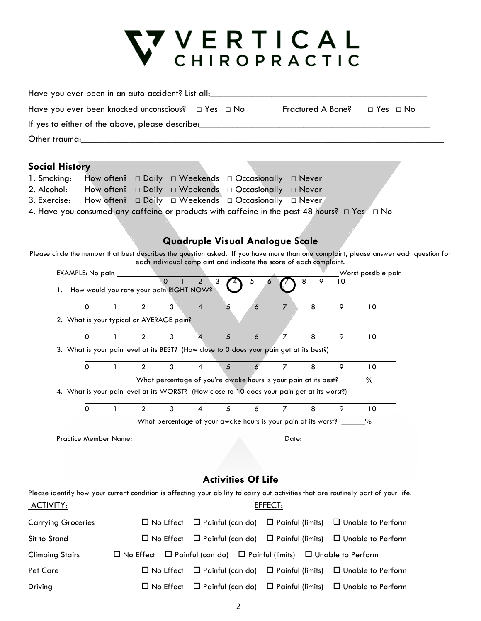

| Have you ever been in an auto accident? List all:                                                                                  |                                                                                             |                                                                          |                  |                     |                          |                                                                          |                                    |                         |                   |    |                          |                                                                                                                                       |  |
|------------------------------------------------------------------------------------------------------------------------------------|---------------------------------------------------------------------------------------------|--------------------------------------------------------------------------|------------------|---------------------|--------------------------|--------------------------------------------------------------------------|------------------------------------|-------------------------|-------------------|----|--------------------------|---------------------------------------------------------------------------------------------------------------------------------------|--|
| Have you ever been knocked unconscious?                                                                                            |                                                                                             |                                                                          |                  |                     |                          | $\Box$ Yes $\Box$ No                                                     |                                    |                         | Fractured A Bone? |    | $\Box$ Yes $\Box$ No     |                                                                                                                                       |  |
| If yes to either of the above, please describe:_________________________________                                                   |                                                                                             |                                                                          |                  |                     |                          |                                                                          |                                    |                         |                   |    |                          |                                                                                                                                       |  |
|                                                                                                                                    |                                                                                             |                                                                          |                  |                     |                          |                                                                          |                                    |                         |                   |    |                          |                                                                                                                                       |  |
|                                                                                                                                    |                                                                                             |                                                                          |                  |                     |                          |                                                                          |                                    |                         |                   |    |                          |                                                                                                                                       |  |
| <b>Social History</b>                                                                                                              |                                                                                             |                                                                          |                  |                     |                          |                                                                          |                                    |                         |                   |    |                          |                                                                                                                                       |  |
| 1. Smoking:                                                                                                                        |                                                                                             | How often? $\Box$ Daily $\Box$ Weekends $\Box$ Occasionally $\Box$ Never |                  |                     |                          |                                                                          |                                    |                         |                   |    |                          |                                                                                                                                       |  |
| 2. Alcohol:                                                                                                                        |                                                                                             |                                                                          |                  |                     |                          |                                                                          |                                    |                         |                   |    |                          |                                                                                                                                       |  |
| 3. Exercise:                                                                                                                       | How often?                                                                                  |                                                                          |                  |                     |                          | $\Box$ Daily $\Box$ Weekends $\Box$ Occasionally                         |                                    |                         | ⊟ Never,          |    |                          |                                                                                                                                       |  |
| 4. Have you consumed any caffeine or products with caffeine in the past 48 hours? $\Box$ Yes $\Box$ No                             |                                                                                             |                                                                          |                  |                     |                          |                                                                          |                                    |                         |                   |    |                          |                                                                                                                                       |  |
|                                                                                                                                    |                                                                                             |                                                                          |                  |                     |                          |                                                                          |                                    |                         |                   |    |                          |                                                                                                                                       |  |
|                                                                                                                                    |                                                                                             |                                                                          |                  |                     |                          | <b>Quadruple Visual Analogue Scale</b>                                   |                                    |                         |                   |    |                          |                                                                                                                                       |  |
|                                                                                                                                    |                                                                                             |                                                                          |                  |                     |                          |                                                                          |                                    |                         |                   |    |                          | Please circle the number that best describes the question asked. If you have more than one complaint, please answer each question for |  |
|                                                                                                                                    | EXAMPLE: No pain __                                                                         |                                                                          |                  |                     |                          | each individual complaint and indicate the score of each complaint.      |                                    |                         |                   |    | Worst possible pain      |                                                                                                                                       |  |
|                                                                                                                                    |                                                                                             |                                                                          |                  | $\Omega$            | $\overline{2}$<br>3      |                                                                          | $\sqrt{5}$<br>$\ddot{\phantom{0}}$ |                         | 8<br>9            | 10 |                          |                                                                                                                                       |  |
|                                                                                                                                    | 1. How would you rate your pain RIGHT NOW?                                                  |                                                                          |                  |                     |                          |                                                                          |                                    |                         |                   |    |                          |                                                                                                                                       |  |
|                                                                                                                                    | $\Omega$                                                                                    | $\mathbf{1}$                                                             | $\overline{2}$   | 3                   | $\overline{\mathcal{A}}$ | 5                                                                        | 6                                  | $\overline{7}$          | 8                 | 9  | 10                       |                                                                                                                                       |  |
|                                                                                                                                    | 2. What is your typical or AVERAGE pain?                                                    |                                                                          |                  |                     |                          |                                                                          |                                    |                         |                   |    |                          |                                                                                                                                       |  |
|                                                                                                                                    | $\Omega$                                                                                    |                                                                          | $\overline{2}$   | 3                   | 4                        | 5                                                                        | 6                                  | $\overline{7}$          | 8                 | 9  | 10                       |                                                                                                                                       |  |
|                                                                                                                                    | 3. What is your pain level at its BEST? (How close to 0 does your pain get at its best?)    |                                                                          |                  |                     |                          |                                                                          |                                    |                         |                   |    |                          |                                                                                                                                       |  |
|                                                                                                                                    |                                                                                             |                                                                          |                  |                     |                          |                                                                          |                                    |                         |                   |    |                          |                                                                                                                                       |  |
|                                                                                                                                    | $\Omega$                                                                                    | $\mathbf{1}$                                                             | $\overline{2}$   | 3                   | 4                        | 5                                                                        | 6                                  | $\overline{7}$          | 8                 | 9  | 10                       |                                                                                                                                       |  |
|                                                                                                                                    |                                                                                             |                                                                          |                  |                     |                          | What percentage of you're awake hours is your pain at its best? _____    |                                    |                         |                   |    | $\%$                     |                                                                                                                                       |  |
|                                                                                                                                    | 4. What is your pain level at its WORST? (How close to 10 does your pain get at its worst?) |                                                                          |                  |                     |                          |                                                                          |                                    |                         |                   |    |                          |                                                                                                                                       |  |
|                                                                                                                                    | $\Omega$                                                                                    | 1                                                                        | $\overline{2}$   | 3                   | 4                        | 5                                                                        | 6                                  | $\overline{7}$          | 8                 | 9  | 10                       |                                                                                                                                       |  |
|                                                                                                                                    |                                                                                             |                                                                          |                  |                     |                          | What percentage of your awake hours is your pain at its worst? ____      |                                    |                         |                   |    | $\%$                     |                                                                                                                                       |  |
|                                                                                                                                    | Practice Member Name:                                                                       |                                                                          |                  |                     |                          |                                                                          |                                    | Date:                   |                   |    |                          |                                                                                                                                       |  |
|                                                                                                                                    |                                                                                             |                                                                          |                  |                     |                          |                                                                          |                                    |                         |                   |    |                          |                                                                                                                                       |  |
|                                                                                                                                    |                                                                                             |                                                                          |                  |                     |                          |                                                                          |                                    |                         |                   |    |                          |                                                                                                                                       |  |
|                                                                                                                                    |                                                                                             |                                                                          |                  |                     |                          |                                                                          |                                    |                         |                   |    |                          |                                                                                                                                       |  |
|                                                                                                                                    |                                                                                             |                                                                          |                  |                     |                          | <b>Activities Of Life</b>                                                |                                    |                         |                   |    |                          |                                                                                                                                       |  |
| Please identify how your current condition is affecting your ability to carry out activities that are routinely part of your life: |                                                                                             |                                                                          |                  |                     |                          |                                                                          |                                    |                         |                   |    |                          |                                                                                                                                       |  |
| <u>ACTIVITY:</u>                                                                                                                   |                                                                                             |                                                                          |                  |                     |                          |                                                                          | EFFECT:                            |                         |                   |    |                          |                                                                                                                                       |  |
| <b>Carrying Groceries</b>                                                                                                          |                                                                                             |                                                                          | $\Box$ No Effect |                     |                          | $\Box$ Painful (can do)                                                  |                                    | $\Box$ Painful (limits) |                   |    | Unable to Perform        |                                                                                                                                       |  |
| Sit to Stand                                                                                                                       |                                                                                             |                                                                          |                  | $\square$ No Effect |                          | $\Box$ Painful (can do)                                                  |                                    | $\Box$ Painful (limits) |                   |    | $\Box$ Unable to Perform |                                                                                                                                       |  |
| <b>Climbing Stairs</b>                                                                                                             |                                                                                             | $\square$ No Effect                                                      |                  |                     |                          | $\Box$ Painful (can do) $\Box$ Painful (limits) $\Box$ Unable to Perform |                                    |                         |                   |    |                          |                                                                                                                                       |  |
| Pet Care                                                                                                                           |                                                                                             |                                                                          |                  | $\square$ No Effect |                          | $\Box$ Painful (can do) $\Box$ Painful (limits)                          |                                    |                         |                   |    | $\Box$ Unable to Perform |                                                                                                                                       |  |

Driving No Effect Painful (can do) Painful (limits) Unable to Perform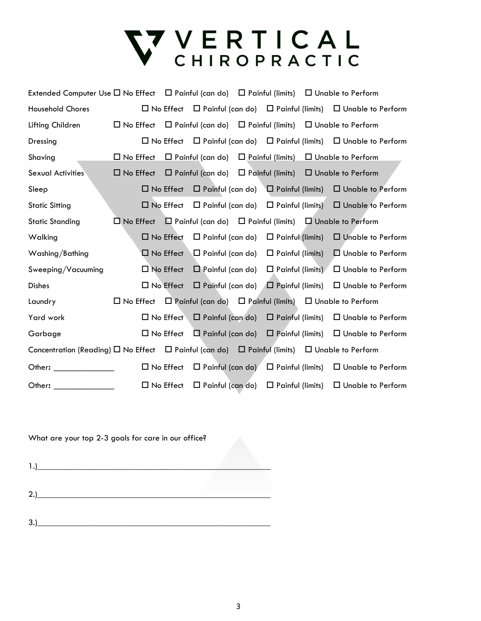# V VERTICAL<br>CHIROPRACTIC

| Extended Computer Use $\Box$ No Effect $\Box$ Painful (can do) $\Box$ Painful (limits) $\Box$ Unable to Perform   |                                                                                           |                     |                                                                  |                         |                                                                                           |
|-------------------------------------------------------------------------------------------------------------------|-------------------------------------------------------------------------------------------|---------------------|------------------------------------------------------------------|-------------------------|-------------------------------------------------------------------------------------------|
| <b>Household Chores</b>                                                                                           |                                                                                           |                     |                                                                  |                         | $\Box$ No Effect $\Box$ Painful (can do) $\Box$ Painful (limits) $\Box$ Unable to Perform |
| Lifting Children                                                                                                  | $\Box$ No Effect $\Box$ Painful (can do) $\Box$ Painful (limits) $\Box$ Unable to Perform |                     |                                                                  |                         |                                                                                           |
| Dressing                                                                                                          |                                                                                           |                     |                                                                  |                         | $\Box$ No Effect $\Box$ Painful (can do) $\Box$ Painful (limits) $\Box$ Unable to Perform |
| Shaving                                                                                                           | $\square$ No Effect                                                                       |                     |                                                                  |                         | $\Box$ Painful (can do) $\Box$ Painful (limits) $\Box$ Unable to Perform                  |
| <b>Sexual Activities</b>                                                                                          | $\Box$ No Effect                                                                          |                     |                                                                  |                         | $\Box$ Painful (can do) $\Box$ Painful (limits) $\Box$ Unable to Perform                  |
| Sleep                                                                                                             |                                                                                           |                     |                                                                  |                         | $\Box$ No Effect $\Box$ Painful (can do) $\Box$ Painful (limits) $\Box$ Unable to Perform |
| <b>Static Sitting</b>                                                                                             |                                                                                           |                     |                                                                  |                         | $\Box$ No Effect $\Box$ Painful (can do) $\Box$ Painful (limits) $\Box$ Unable to Perform |
| <b>Static Standing</b>                                                                                            | $\Box$ No Effect $\Box$ Painful (can do) $\Box$ Painful (limits) $\Box$ Unable to Perform |                     |                                                                  |                         |                                                                                           |
| Walking                                                                                                           |                                                                                           | $\square$ No Effect | $\Box$ Painful (can do)                                          | $\Box$ Painful (limits) | $\Box$ Unable to Perform                                                                  |
| Washing/Bathing                                                                                                   |                                                                                           | $\square$ No Effect | Nainful (can do)                                                 | $\Box$ Painful (limits) | □ Unable to Perform                                                                       |
| Sweeping/Vacuuming                                                                                                |                                                                                           | $\square$ No Effect | $\Box$ Painful (can do) $\Box$ Painful (limits)                  |                         | □ Unable to Perform                                                                       |
| <b>Dishes</b>                                                                                                     |                                                                                           | $\square$ No Effect | $\Box$ Painful (can do) $\Box$ Painful (limits)                  |                         | $\Box$ Unable to Perform                                                                  |
| Laundry                                                                                                           | $\Box$ No Effect $\Box$ Painful (can do) $\Box$ Painful (limits) $\Box$ Unable to Perform |                     |                                                                  |                         |                                                                                           |
| Yard work                                                                                                         |                                                                                           |                     | $\Box$ No Effect $\Box$ Painful (can do) $\Box$ Painful (limits) |                         | $\Box$ Unable to Perform                                                                  |
| Garbage                                                                                                           |                                                                                           | $\Box$ No Effect    |                                                                  |                         | $\Box$ Painful (can do) $\Box$ Painful (limits) $\Box$ Unable to Perform                  |
| Concentration (Reading) $\Box$ No Effect $\Box$ Painful (can do) $\Box$ Painful (limits) $\Box$ Unable to Perform |                                                                                           |                     |                                                                  |                         |                                                                                           |
| Other: <u>Distribution</u>                                                                                        |                                                                                           | $\Box$ No Effect    | $\Box$ Painful (can do) $\Box$ Painful (limits)                  |                         | $\Box$ Unable to Perform                                                                  |
| Other:                                                                                                            |                                                                                           | $\Box$ No Effect    | $\Box$ Painful (can do) $\Box$ Painful (limits)                  |                         | $\Box$ Unable to Perform                                                                  |

What are your top 2-3 goals for care in our office?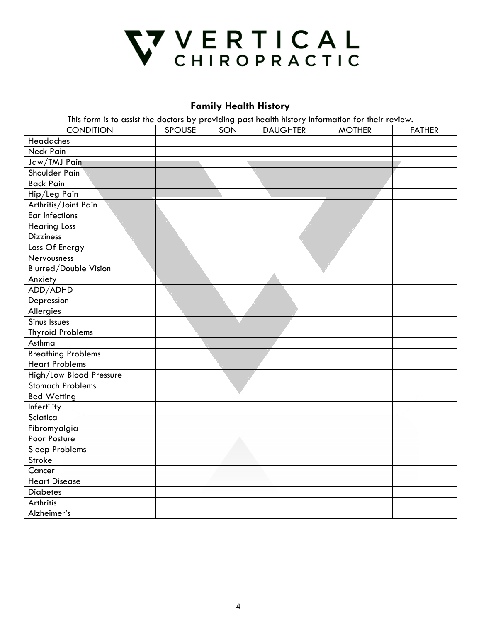

## **Family Health History**

This form is to assist the doctors by providing past health history information for their review.

| <b>CONDITION</b>             | <b>SPOUSE</b> | ວ ເ<br>SON | <b>DAUGHTER</b> | <b>MOTHER</b> | <b>FATHER</b> |
|------------------------------|---------------|------------|-----------------|---------------|---------------|
| Headaches                    |               |            |                 |               |               |
| <b>Neck Pain</b>             |               |            |                 |               |               |
| Jaw/TMJ Pain                 |               |            |                 |               |               |
| Shoulder Pain                |               |            |                 |               |               |
| <b>Back Pain</b>             |               |            |                 |               |               |
| Hip/Leg Pain                 |               |            |                 |               |               |
| Arthritis/Joint Pain         |               |            |                 |               |               |
| <b>Ear Infections</b>        |               |            |                 |               |               |
| <b>Hearing Loss</b>          |               |            |                 |               |               |
| <b>Dizziness</b>             |               |            |                 |               |               |
| Loss Of Energy               |               |            |                 |               |               |
| Nervousness                  |               |            |                 |               |               |
| <b>Blurred/Double Vision</b> |               |            |                 |               |               |
| Anxiety                      |               |            |                 |               |               |
| ADD/ADHD                     |               |            |                 |               |               |
| Depression                   |               |            |                 |               |               |
| Allergies                    |               |            |                 |               |               |
| <b>Sinus Issues</b>          |               |            |                 |               |               |
| <b>Thyroid Problems</b>      |               |            |                 |               |               |
| Asthma                       |               |            |                 |               |               |
| <b>Breathing Problems</b>    |               |            |                 |               |               |
| <b>Heart Problems</b>        |               |            |                 |               |               |
| High/Low Blood Pressure      |               |            |                 |               |               |
| <b>Stomach Problems</b>      |               |            |                 |               |               |
| <b>Bed Wetting</b>           |               |            |                 |               |               |
| Infertility                  |               |            |                 |               |               |
| Sciatica                     |               |            |                 |               |               |
| Fibromyalgia                 |               |            |                 |               |               |
| Poor Posture                 |               |            |                 |               |               |
| <b>Sleep Problems</b>        |               |            |                 |               |               |
| Stroke                       |               |            |                 |               |               |
| Cancer                       |               |            |                 |               |               |
| <b>Heart Disease</b>         |               |            |                 |               |               |
| <b>Diabetes</b>              |               |            |                 |               |               |
| Arthritis                    |               |            |                 |               |               |
| Alzheimer's                  |               |            |                 |               |               |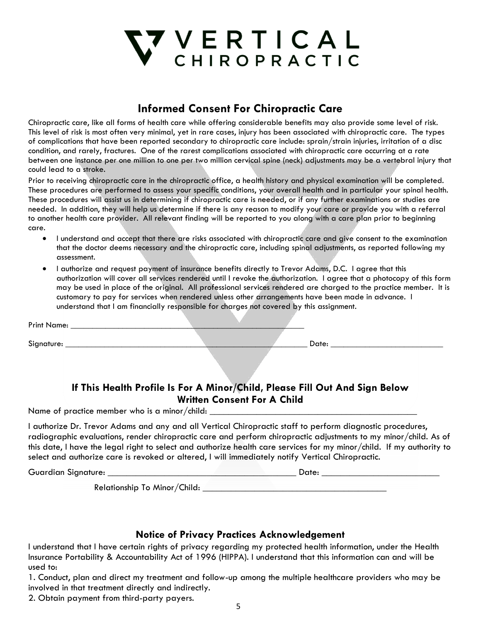

## **Informed Consent For Chiropractic Care**

Chiropractic care, like all forms of health care while offering considerable benefits may also provide some level of risk. This level of risk is most often very minimal, yet in rare cases, injury has been associated with chiropractic care. The types of complications that have been reported secondary to chiropractic care include: sprain/strain injuries, irritation of a disc condition, and rarely, fractures. One of the rarest complications associated with chiropractic care occurring at a rate between one instance per one million to one per two million cervical spine (neck) adjustments may be a vertebral injury that could lead to a stroke.

Prior to receiving chiropractic care in the chiropractic office, a health history and physical examination will be completed. These procedures are performed to assess your specific conditions, your overall health and in particular your spinal health. These procedures will assist us in determining if chiropractic care is needed, or if any further examinations or studies are needed. In addition, they will help us determine if there is any reason to modify your care or provide you with a referral to another health care provider. All relevant finding will be reported to you along with a care plan prior to beginning care.

- I understand and accept that there are risks associated with chiropractic care and give consent to the examination that the doctor deems necessary and the chiropractic care, including spinal adjustments, as reported following my assessment.
- I authorize and request payment of insurance benefits directly to Trevor Adams, D.C. I agree that this authorization will cover all services rendered until I revoke the authorization. I agree that a photocopy of this form may be used in place of the original. All professional services rendered are charged to the practice member. It is customary to pay for services when rendered unless other arrangements have been made in advance. I understand that I am financially responsible for charges not covered by this assignment.

| Print Name: _ |  |  |                                                                                                                    |     |  |
|---------------|--|--|--------------------------------------------------------------------------------------------------------------------|-----|--|
| Signature:    |  |  | Date:                                                                                                              |     |  |
|               |  |  |                                                                                                                    |     |  |
|               |  |  |                                                                                                                    |     |  |
|               |  |  | $\mathbf{r}$ and $\mathbf{r}$ and $\mathbf{r}$ and $\mathbf{r}$ and $\mathbf{r}$ and $\mathbf{r}$ and $\mathbf{r}$ | - - |  |

### **If This Health Profile Is For A Minor/Child, Please Fill Out And Sign Below Written Consent For A Child**

Name of practice member who is a minor/child:

I authorize Dr. Trevor Adams and any and all Vertical Chiropractic staff to perform diagnostic procedures, radiographic evaluations, render chiropractic care and perform chiropractic adjustments to my minor/child. As of this date, I have the legal right to select and authorize health care services for my minor/child. If my authority to select and authorize care is revoked or altered, I will immediately notify Vertical Chiropractic.

Guardian Signature: \_\_\_\_\_\_\_\_\_\_\_\_\_\_\_\_\_\_\_\_\_\_\_\_\_\_\_\_\_\_\_\_\_\_\_\_\_\_\_\_ Date: \_\_\_\_\_\_\_\_\_\_\_\_\_\_\_\_\_\_\_\_\_\_\_\_\_

Relationship To Minor/Child: \_\_\_\_\_\_\_\_\_\_\_\_\_\_\_\_\_\_\_\_\_\_\_\_\_\_\_\_\_\_\_\_\_\_\_\_\_\_\_

#### **Notice of Privacy Practices Acknowledgement**

I understand that I have certain rights of privacy regarding my protected health information, under the Health Insurance Portability & Accountability Act of 1996 (HIPPA). I understand that this information can and will be used to:

1. Conduct, plan and direct my treatment and follow-up among the multiple healthcare providers who may be involved in that treatment directly and indirectly.

2. Obtain payment from third-party payers.